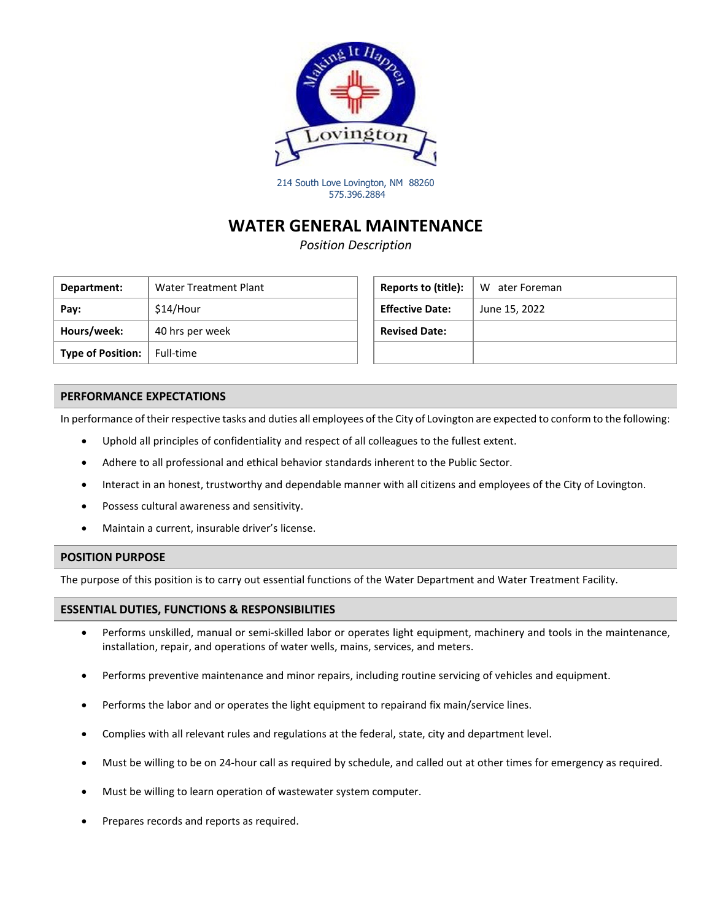

214 South Love Lovington, NM 88260 575.396.2884

## **WATER GENERAL MAINTENANCE**

*Position Description*

| Department:              | Water Treatment Plant | Reports to (title):    | W ater Foreman |
|--------------------------|-----------------------|------------------------|----------------|
| Pay:                     | \$14/Hour             | <b>Effective Date:</b> | June 15, 2022  |
| Hours/week:              | 40 hrs per week       | <b>Revised Date:</b>   |                |
| <b>Type of Position:</b> | Full-time             |                        |                |

| Reports to (title):    | W ater Foreman |
|------------------------|----------------|
| <b>Effective Date:</b> | June 15, 2022  |
| <b>Revised Date:</b>   |                |
|                        |                |

### **PERFORMANCE EXPECTATIONS**

In performance of their respective tasks and duties all employees of the City of Lovington are expected to conform to the following:

- Uphold all principles of confidentiality and respect of all colleagues to the fullest extent.
- Adhere to all professional and ethical behavior standards inherent to the Public Sector.
- Interact in an honest, trustworthy and dependable manner with all citizens and employees of the City of Lovington.
- Possess cultural awareness and sensitivity.
- Maintain a current, insurable driver's license.

### **POSITION PURPOSE**

The purpose of this position is to carry out essential functions of the Water Department and Water Treatment Facility.

### **ESSENTIAL DUTIES, FUNCTIONS & RESPONSIBILITIES**

- Performs unskilled, manual or semi-skilled labor or operates light equipment, machinery and tools in the maintenance, installation, repair, and operations of water wells, mains, services, and meters.
- Performs preventive maintenance and minor repairs, including routine servicing of vehicles and equipment.
- Performs the labor and or operates the light equipment to repairand fix main/service lines.
- Complies with all relevant rules and regulations at the federal, state, city and department level.
- Must be willing to be on 24-hour call as required by schedule, and called out at other times for emergency as required.
- Must be willing to learn operation of wastewater system computer.
- Prepares records and reports as required.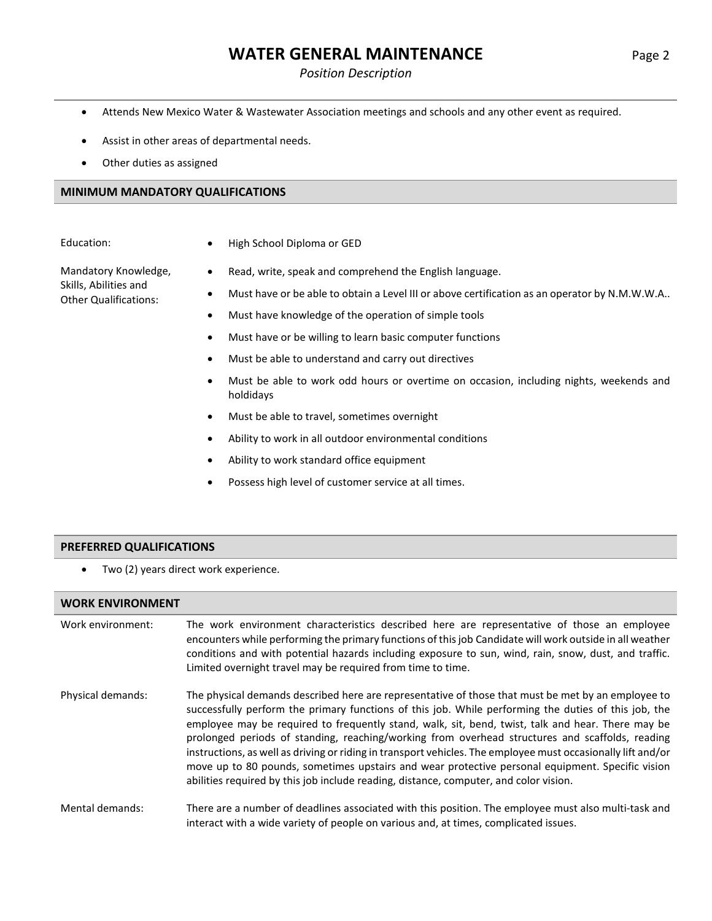# **WATER GENERAL MAINTENANCE** Page 2

### *Position Description*

- Attends New Mexico Water & Wastewater Association meetings and schools and any other event as required.
- Assist in other areas of departmental needs.
- Other duties as assigned

### **MINIMUM MANDATORY QUALIFICATIONS**

Education: • • High School Diploma or GED

Mandatory Knowledge, Skills, Abilities and Other Qualifications:

- Read, write, speak and comprehend the English language.
- Must have or be able to obtain a Level III or above certification as an operator by N.M.W.W.A..
- Must have knowledge of the operation of simple tools
- Must have or be willing to learn basic computer functions
- Must be able to understand and carry out directives
- Must be able to work odd hours or overtime on occasion, including nights, weekends and holdidays
- Must be able to travel, sometimes overnight
- Ability to work in all outdoor environmental conditions
- Ability to work standard office equipment
- Possess high level of customer service at all times.

### **PREFERRED QUALIFICATIONS**

Two (2) years direct work experience.

### **WORK ENVIRONMENT**

| Work environment: | The work environment characteristics described here are representative of those an employee<br>encounters while performing the primary functions of this job Candidate will work outside in all weather<br>conditions and with potential hazards including exposure to sun, wind, rain, snow, dust, and traffic.<br>Limited overnight travel may be required from time to time.                                                                                                                                                                                                                                                                                                                                                 |
|-------------------|---------------------------------------------------------------------------------------------------------------------------------------------------------------------------------------------------------------------------------------------------------------------------------------------------------------------------------------------------------------------------------------------------------------------------------------------------------------------------------------------------------------------------------------------------------------------------------------------------------------------------------------------------------------------------------------------------------------------------------|
| Physical demands: | The physical demands described here are representative of those that must be met by an employee to<br>successfully perform the primary functions of this job. While performing the duties of this job, the<br>employee may be required to frequently stand, walk, sit, bend, twist, talk and hear. There may be<br>prolonged periods of standing, reaching/working from overhead structures and scaffolds, reading<br>instructions, as well as driving or riding in transport vehicles. The employee must occasionally lift and/or<br>move up to 80 pounds, sometimes upstairs and wear protective personal equipment. Specific vision<br>abilities required by this job include reading, distance, computer, and color vision. |
| Mental demands:   | There are a number of deadlines associated with this position. The employee must also multi-task and<br>interact with a wide variety of people on various and, at times, complicated issues.                                                                                                                                                                                                                                                                                                                                                                                                                                                                                                                                    |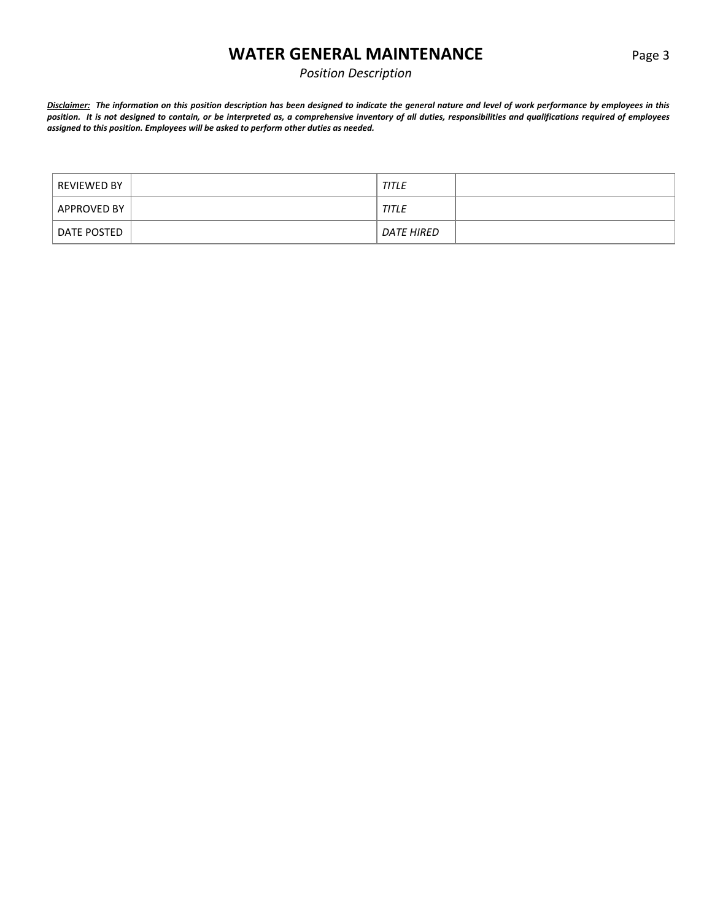## **WATER GENERAL MAINTENANCE** Page 3

## *Position Description*

*Disclaimer: The information on this position description has been designed to indicate the general nature and level of work performance by employees in this position. It is not designed to contain, or be interpreted as, a comprehensive inventory of all duties, responsibilities and qualifications required of employees assigned to this position. Employees will be asked to perform other duties as needed.*

| REVIEWED BY | <b>TITLE</b> |  |
|-------------|--------------|--|
| APPROVED BY | <b>TITLE</b> |  |
| DATE POSTED | DATE HIRED   |  |